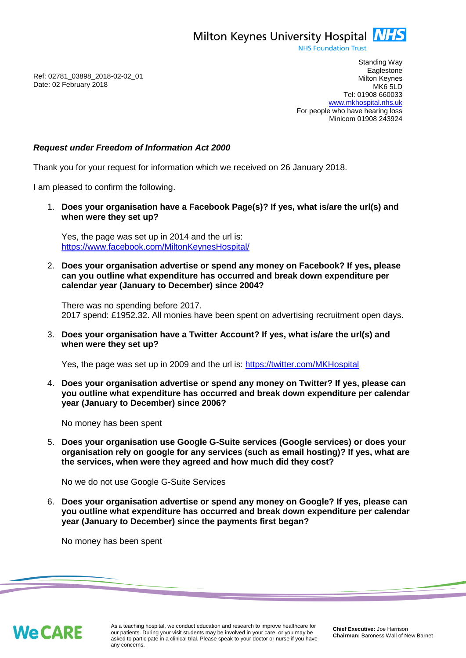Milton Keynes University Hospital **NHS** 

**NHS Foundation Trust** 

Ref: 02781\_03898\_2018-02-02\_01 Date: 02 February 2018

Standing Way **Eaglestone** Milton Keynes MK6 5LD Tel: 01908 660033 [www.mkhospital.nhs.uk](http://www.mkhospital.nhs.uk/) For people who have hearing loss Minicom 01908 243924

## *Request under Freedom of Information Act 2000*

Thank you for your request for information which we received on 26 January 2018.

I am pleased to confirm the following.

1. **Does your organisation have a Facebook Page(s)? If yes, what is/are the url(s) and when were they set up?** 

Yes, the page was set up in 2014 and the url is: <https://www.facebook.com/MiltonKeynesHospital/>

2. **Does your organisation advertise or spend any money on Facebook? If yes, please can you outline what expenditure has occurred and break down expenditure per calendar year (January to December) since 2004?** 

There was no spending before 2017. 2017 spend: £1952.32. All monies have been spent on advertising recruitment open days.

3. **Does your organisation have a Twitter Account? If yes, what is/are the url(s) and when were they set up?** 

Yes, the page was set up in 2009 and the url is:<https://twitter.com/MKHospital>

4. **Does your organisation advertise or spend any money on Twitter? If yes, please can you outline what expenditure has occurred and break down expenditure per calendar year (January to December) since 2006?**

No money has been spent

5. **Does your organisation use Google G-Suite services (Google services) or does your organisation rely on google for any services (such as email hosting)? If yes, what are the services, when were they agreed and how much did they cost?** 

No we do not use Google G-Suite Services

6. **Does your organisation advertise or spend any money on Google? If yes, please can you outline what expenditure has occurred and break down expenditure per calendar year (January to December) since the payments first began?**

No money has been spent